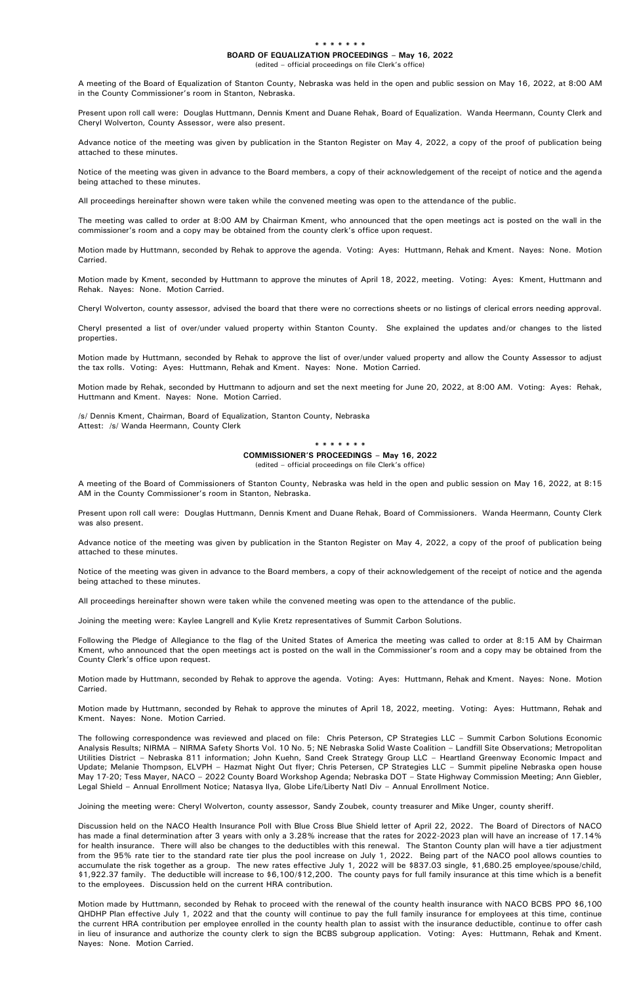## **\* \* \* \* \* \* \***

## **BOARD OF EQUALIZATION PROCEEDINGS – May 16, 2022**

(edited – official proceedings on file Clerk's office)

A meeting of the Board of Equalization of Stanton County, Nebraska was held in the open and public session on May 16, 2022, at 8:00 AM in the County Commissioner's room in Stanton, Nebraska.

Present upon roll call were: Douglas Huttmann, Dennis Kment and Duane Rehak, Board of Equalization. Wanda Heermann, County Clerk and Cheryl Wolverton, County Assessor, were also present.

Advance notice of the meeting was given by publication in the Stanton Register on May 4, 2022, a copy of the proof of publication being attached to these minutes.

Notice of the meeting was given in advance to the Board members, a copy of their acknowledgement of the receipt of notice and the agenda being attached to these minutes.

All proceedings hereinafter shown were taken while the convened meeting was open to the attendance of the public.

The meeting was called to order at 8:00 AM by Chairman Kment, who announced that the open meetings act is posted on the wall in the commissioner's room and a copy may be obtained from the county clerk's office upon request.

Motion made by Huttmann, seconded by Rehak to approve the agenda. Voting: Ayes: Huttmann, Rehak and Kment. Nayes: None. Motion Carried.

Motion made by Kment, seconded by Huttmann to approve the minutes of April 18, 2022, meeting. Voting: Ayes: Kment, Huttmann and Rehak. Nayes: None. Motion Carried.

Cheryl Wolverton, county assessor, advised the board that there were no corrections sheets or no listings of clerical errors needing approval.

Cheryl presented a list of over/under valued property within Stanton County. She explained the updates and/or changes to the listed properties.

Motion made by Huttmann, seconded by Rehak to approve the list of over/under valued property and allow the County Assessor to adjust the tax rolls. Voting: Ayes: Huttmann, Rehak and Kment. Nayes: None. Motion Carried.

Motion made by Rehak, seconded by Huttmann to adjourn and set the next meeting for June 20, 2022, at 8:00 AM. Voting: Ayes: Rehak, Huttmann and Kment. Nayes: None. Motion Carried.

/s/ Dennis Kment, Chairman, Board of Equalization, Stanton County, Nebraska Attest: /s/ Wanda Heermann, County Clerk

> **\* \* \* \* \* \* \* COMMISSIONER'S PROCEEDINGS – May 16, 2022** (edited – official proceedings on file Clerk's office)

A meeting of the Board of Commissioners of Stanton County, Nebraska was held in the open and public session on May 16, 2022, at 8:15 AM in the County Commissioner's room in Stanton, Nebraska.

Present upon roll call were: Douglas Huttmann, Dennis Kment and Duane Rehak, Board of Commissioners. Wanda Heermann, County Clerk was also present.

Advance notice of the meeting was given by publication in the Stanton Register on May 4, 2022, a copy of the proof of publication being attached to these minutes.

Notice of the meeting was given in advance to the Board members, a copy of their acknowledgement of the receipt of notice and the agenda being attached to these minutes.

All proceedings hereinafter shown were taken while the convened meeting was open to the attendance of the public.

Joining the meeting were: Kaylee Langrell and Kylie Kretz representatives of Summit Carbon Solutions.

Following the Pledge of Allegiance to the flag of the United States of America the meeting was called to order at 8:15 AM by Chairman Kment, who announced that the open meetings act is posted on the wall in the Commissioner's room and a copy may be obtained from the County Clerk's office upon request.

Motion made by Huttmann, seconded by Rehak to approve the agenda. Voting: Ayes: Huttmann, Rehak and Kment. Nayes: None. Motion Carried.

Motion made by Huttmann, seconded by Rehak to approve the minutes of April 18, 2022, meeting. Voting: Ayes: Huttmann, Rehak and Kment. Nayes: None. Motion Carried.

The following correspondence was reviewed and placed on file: Chris Peterson, CP Strategies LLC – Summit Carbon Solutions Economic Analysis Results; NIRMA – NIRMA Safety Shorts Vol. 10 No. 5; NE Nebraska Solid Waste Coalition – Landfill Site Observations; Metropolitan Utilities District – Nebraska 811 information; John Kuehn, Sand Creek Strategy Group LLC – Heartland Greenway Economic Impact and Update; Melanie Thompson, ELVPH – Hazmat Night Out flyer; Chris Petersen, CP Strategies LLC – Summit pipeline Nebraska open house May 17-20; Tess Mayer, NACO – 2022 County Board Workshop Agenda; Nebraska DOT – State Highway Commission Meeting; Ann Giebler, Legal Shield – Annual Enrollment Notice; Natasya Ilya, Globe Life/Liberty Natl Div – Annual Enrollment Notice.

Joining the meeting were: Cheryl Wolverton, county assessor, Sandy Zoubek, county treasurer and Mike Unger, county sheriff.

Discussion held on the NACO Health Insurance Poll with Blue Cross Blue Shield letter of April 22, 2022. The Board of Directors of NACO has made a final determination after 3 years with only a 3.28% increase that the rates for 2022-2023 plan will have an increase of 17.14% for health insurance. There will also be changes to the deductibles with this renewal. The Stanton County plan will have a tier adjustment from the 95% rate tier to the standard rate tier plus the pool increase on July 1, 2022. Being part of the NACO pool allows counties to accumulate the risk together as a group. The new rates effective July 1, 2022 will be \$837.03 single, \$1,680.25 employee/spouse/child, \$1,922.37 family. The deductible will increase to \$6,100/\$12,200. The county pays for full family insurance at this time which is a benefit to the employees. Discussion held on the current HRA contribution.

Motion made by Huttmann, seconded by Rehak to proceed with the renewal of the county health insurance with NACO BCBS PPO \$6,100 QHDHP Plan effective July 1, 2022 and that the county will continue to pay the full family insurance for employees at this time, continue the current HRA contribution per employee enrolled in the county health plan to assist with the insurance deductible, continue to offer cash in lieu of insurance and authorize the county clerk to sign the BCBS subgroup application. Voting: Ayes: Huttmann, Rehak and Kment. Nayes: None. Motion Carried.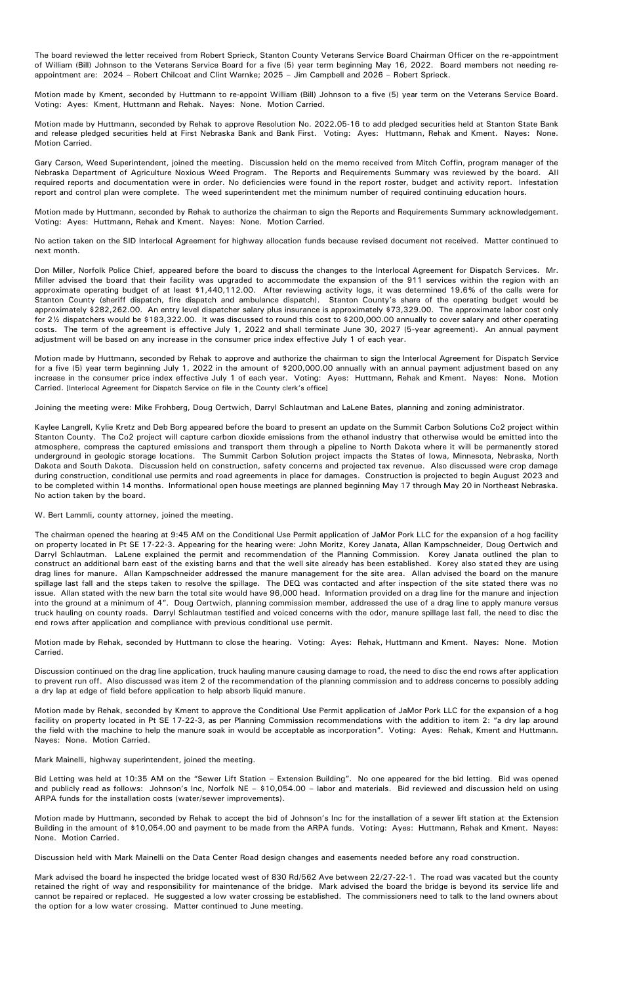The board reviewed the letter received from Robert Sprieck, Stanton County Veterans Service Board Chairman Officer on the re-appointment of William (Bill) Johnson to the Veterans Service Board for a five (5) year term beginning May 16, 2022. Board members not needing reappointment are: 2024 – Robert Chilcoat and Clint Warnke; 2025 – Jim Campbell and 2026 – Robert Sprieck.

Motion made by Kment, seconded by Huttmann to re-appoint William (Bill) Johnson to a five (5) year term on the Veterans Service Board. Voting: Ayes: Kment, Huttmann and Rehak. Nayes: None. Motion Carried.

Motion made by Huttmann, seconded by Rehak to approve Resolution No. 2022.05-16 to add pledged securities held at Stanton State Bank and release pledged securities held at First Nebraska Bank and Bank First. Voting: Ayes: Huttmann, Rehak and Kment. Nayes: None. Motion Carried.

Gary Carson, Weed Superintendent, joined the meeting. Discussion held on the memo received from Mitch Coffin, program manager of the Nebraska Department of Agriculture Noxious Weed Program. The Reports and Requirements Summary was reviewed by the board. All required reports and documentation were in order. No deficiencies were found in the report roster, budget and activity report. Infestation report and control plan were complete. The weed superintendent met the minimum number of required continuing education hours.

Motion made by Huttmann, seconded by Rehak to authorize the chairman to sign the Reports and Requirements Summary acknowledgement. Voting: Ayes: Huttmann, Rehak and Kment. Nayes: None. Motion Carried.

No action taken on the SID Interlocal Agreement for highway allocation funds because revised document not received. Matter continued to next month.

Don Miller, Norfolk Police Chief, appeared before the board to discuss the changes to the Interlocal Agreement for Dispatch Services. Mr. Miller advised the board that their facility was upgraded to accommodate the expansion of the 911 services within the region with an approximate operating budget of at least \$1,440,112.00. After reviewing activity logs, it was determined 19.6% of the calls were for Stanton County (sheriff dispatch, fire dispatch and ambulance dispatch). Stanton County's share of the operating budget would be approximately \$282,262.00. An entry level dispatcher salary plus insurance is approximately \$73,329.00. The approximate labor cost only for 2½ dispatchers would be \$183,322.00. It was discussed to round this cost to \$200,000.00 annually to cover salary and other operating costs. The term of the agreement is effective July 1, 2022 and shall terminate June 30, 2027 (5-year agreement). An annual payment adjustment will be based on any increase in the consumer price index effective July 1 of each year.

Motion made by Huttmann, seconded by Rehak to approve and authorize the chairman to sign the Interlocal Agreement for Dispatch Service for a five (5) year term beginning July 1, 2022 in the amount of \$200,000.00 annually with an annual payment adjustment based on any increase in the consumer price index effective July 1 of each year. Voting: Ayes: Huttmann, Rehak and Kment. Nayes: None. Motion Carried. [Interlocal Agreement for Dispatch Service on file in the County clerk's office]

Joining the meeting were: Mike Frohberg, Doug Oertwich, Darryl Schlautman and LaLene Bates, planning and zoning administrator.

Kaylee Langrell, Kylie Kretz and Deb Borg appeared before the board to present an update on the Summit Carbon Solutions Co2 project within Stanton County. The Co2 project will capture carbon dioxide emissions from the ethanol industry that otherwise would be emitted into the atmosphere, compress the captured emissions and transport them through a pipeline to North Dakota where it will be permanently stored underground in geologic storage locations. The Summit Carbon Solution project impacts the States of Iowa, Minnesota, Nebraska, North Dakota and South Dakota. Discussion held on construction, safety concerns and projected tax revenue. Also discussed were crop damage during construction, conditional use permits and road agreements in place for damages. Construction is projected to begin August 2023 and to be completed within 14 months. Informational open house meetings are planned beginning May 17 through May 20 in Northeast Nebraska. No action taken by the board.

## W. Bert Lammli, county attorney, joined the meeting.

The chairman opened the hearing at 9:45 AM on the Conditional Use Permit application of JaMor Pork LLC for the expansion of a hog facility on property located in Pt SE 17-22-3. Appearing for the hearing were: John Moritz, Korey Janata, Allan Kampschneider, Doug Oertwich and Darryl Schlautman. LaLene explained the permit and recommendation of the Planning Commission. Korey Janata outlined the plan to construct an additional barn east of the existing barns and that the well site already has been established. Korey also stated they are using drag lines for manure. Allan Kampschneider addressed the manure management for the site area. Allan advised the board on the manure spillage last fall and the steps taken to resolve the spillage. The DEQ was contacted and after inspection of the site stated there was no issue. Allan stated with the new barn the total site would have 96,000 head. Information provided on a drag line for the manure and injection into the ground at a minimum of 4". Doug Oertwich, planning commission member, addressed the use of a drag line to apply manure versus truck hauling on county roads. Darryl Schlautman testified and voiced concerns with the odor, manure spillage last fall, the need to disc the end rows after application and compliance with previous conditional use permit.

Motion made by Rehak, seconded by Huttmann to close the hearing. Voting: Ayes: Rehak, Huttmann and Kment. Nayes: None. Motion Carried.

Discussion continued on the drag line application, truck hauling manure causing damage to road, the need to disc the end rows after application to prevent run off. Also discussed was item 2 of the recommendation of the planning commission and to address concerns to possibly adding a dry lap at edge of field before application to help absorb liquid manure.

Motion made by Rehak, seconded by Kment to approve the Conditional Use Permit application of JaMor Pork LLC for the expansion of a hog facility on property located in Pt SE 17-22-3, as per Planning Commission recommendations with the addition to item 2: "a dry lap around the field with the machine to help the manure soak in would be acceptable as incorporation". Voting: Ayes: Rehak, Kment and Huttmann. Nayes: None. Motion Carried.

Mark Mainelli, highway superintendent, joined the meeting.

Bid Letting was held at 10:35 AM on the "Sewer Lift Station – Extension Building". No one appeared for the bid letting. Bid was opened and publicly read as follows: Johnson's Inc, Norfolk NE – \$10,054.00 – labor and materials. Bid reviewed and discussion held on using ARPA funds for the installation costs (water/sewer improvements).

Motion made by Huttmann, seconded by Rehak to accept the bid of Johnson's Inc for the installation of a sewer lift station at the Extension Building in the amount of \$10,054.00 and payment to be made from the ARPA funds. Voting: Ayes: Huttmann, Rehak and Kment. Nayes: None. Motion Carried.

Discussion held with Mark Mainelli on the Data Center Road design changes and easements needed before any road construction.

Mark advised the board he inspected the bridge located west of 830 Rd/562 Ave between 22/27-22-1. The road was vacated but the county retained the right of way and responsibility for maintenance of the bridge. Mark advised the board the bridge is beyond its service life and cannot be repaired or replaced. He suggested a low water crossing be established. The commissioners need to talk to the land owners about the option for a low water crossing. Matter continued to June meeting.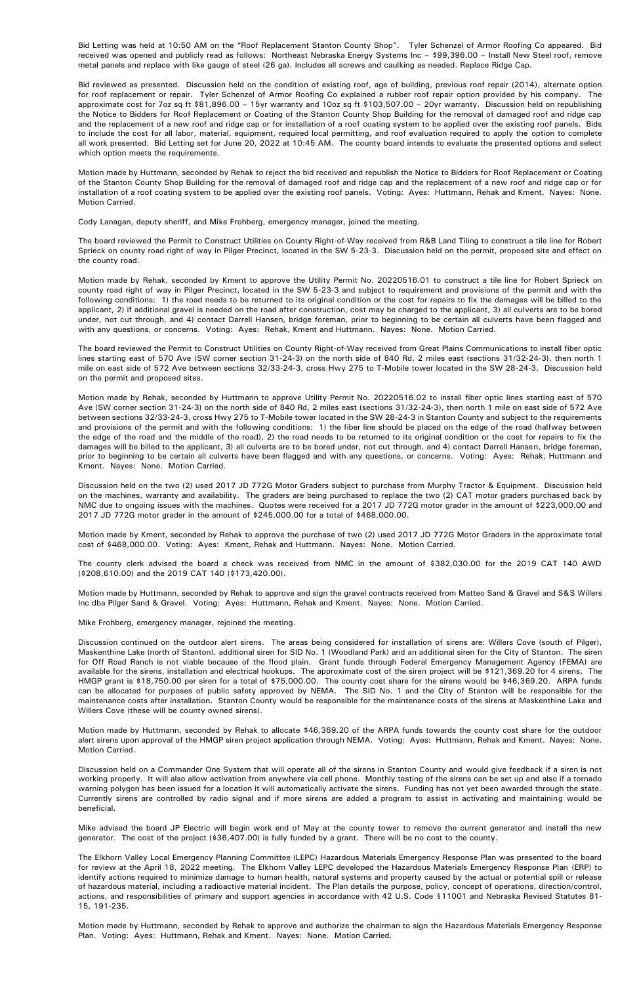Bid Letting was held at 10:50 AM on the "Roof Replacement Stanton County Shop". Tyler Schenzel of Armor Roofing Co appeared. Bid received was opened and publicly read as follows: Northeast Nebraska Energy Systems Inc – \$99,396.00 – Install New Steel roof, remove metal panels and replace with like gauge of steel (26 ga). Includes all screws and caulking as needed. Replace Ridge Cap.

Bid reviewed as presented. Discussion held on the condition of existing roof, age of building, previous roof repair (2014), alternate option for roof replacement or repair. Tyler Schenzel of Armor Roofing Co explained a rubber roof repair option provided by his company. The approximate cost for 7oz sq ft \$81,896.00 – 15yr warranty and 10oz sq ft \$103,507.00 – 20yr warranty. Discussion held on republishing the Notice to Bidders for Roof Replacement or Coating of the Stanton County Shop Building for the removal of damaged roof and ridge cap and the replacement of a new roof and ridge cap or for installation of a roof coating system to be applied over the existing roof panels. Bids to include the cost for all labor, material, equipment, required local permitting, and roof evaluation required to apply the option to complete all work presented. Bid Letting set for June 20, 2022 at 10:45 AM. The county board intends to evaluate the presented options and select which option meets the requirements.

Motion made by Huttmann, seconded by Rehak to reject the bid received and republish the Notice to Bidders for Roof Replacement or Coating of the Stanton County Shop Building for the removal of damaged roof and ridge cap and the replacement of a new roof and ridge cap or for installation of a roof coating system to be applied over the existing roof panels. Voting: Ayes: Huttmann, Rehak and Kment. Nayes: None. Motion Carried.

Cody Lanagan, deputy sheriff, and Mike Frohberg, emergency manager, joined the meeting.

The board reviewed the Permit to Construct Utilities on County Right-of-Way received from R&B Land Tiling to construct a tile line for Robert Sprieck on county road right of way in Pilger Precinct, located in the SW 5-23-3. Discussion held on the permit, proposed site and effect on the county road.

Motion made by Rehak, seconded by Kment to approve the Utility Permit No. 20220516.01 to construct a tile line for Robert Sprieck on county road right of way in Pilger Precinct, located in the SW 5-23-3 and subject to requirement and provisions of the permit and with the following conditions: 1) the road needs to be returned to its original condition or the cost for repairs to fix the damages will be billed to the applicant, 2) if additional gravel is needed on the road after construction, cost may be charged to the applicant, 3) all culverts are to be bored under, not cut through, and 4) contact Darrell Hansen, bridge foreman, prior to beginning to be certain all culverts have been flagged and with any questions, or concerns. Voting: Ayes: Rehak, Kment and Huttmann. Nayes: None. Motion Carried.

The board reviewed the Permit to Construct Utilities on County Right-of-Way received from Great Plains Communications to install fiber optic lines starting east of 570 Ave (SW corner section 31-24-3) on the north side of 840 Rd, 2 miles east (sections 31/32-24-3), then north 1 mile on east side of 572 Ave between sections 32/33-24-3, cross Hwy 275 to T-Mobile tower located in the SW 28-24-3. Discussion held on the permit and proposed sites.

Motion made by Rehak, seconded by Huttmann to approve Utility Permit No. 20220516.02 to install fiber optic lines starting east of 570 Ave (SW corner section 31-24-3) on the north side of 840 Rd, 2 miles east (sections 31/32-24-3), then north 1 mile on east side of 572 Ave between sections 32/33-24-3, cross Hwy 275 to T-Mobile tower located in the SW 28-24-3 in Stanton County and subject to the requirements and provisions of the permit and with the following conditions: 1) the fiber line should be placed on the edge of the road (halfway between the edge of the road and the middle of the road), 2) the road needs to be returned to its original condition or the cost for repairs to fix the damages will be billed to the applicant, 3) all culverts are to be bored under, not cut through, and 4) contact Darrell Hansen, bridge foreman, prior to beginning to be certain all culverts have been flagged and with any questions, or concerns. Voting: Ayes: Rehak, Huttmann and Kment. Nayes: None. Motion Carried.

Discussion held on the two (2) used 2017 JD 772G Motor Graders subject to purchase from Murphy Tractor & Equipment. Discussion held on the machines, warranty and availability. The graders are being purchased to replace the two (2) CAT motor graders purchased back by NMC due to ongoing issues with the machines. Quotes were received for a 2017 JD 772G motor grader in the amount of \$223,000.00 and 2017 JD 772G motor grader in the amount of \$245,000.00 for a total of \$468,000.00.

Motion made by Kment, seconded by Rehak to approve the purchase of two (2) used 2017 JD 772G Motor Graders in the approximate total cost of \$468,000.00. Voting: Ayes: Kment, Rehak and Huttmann. Nayes: None. Motion Carried.

The county clerk advised the board a check was received from NMC in the amount of \$382,030.00 for the 2019 CAT 140 AWD (\$208,610.00) and the 2019 CAT 140 (\$173,420.00).

Motion made by Huttmann, seconded by Rehak to approve and sign the gravel contracts received from Matteo Sand & Gravel and S&S Willers Inc dba Pilger Sand & Gravel. Voting: Ayes: Huttmann, Rehak and Kment. Nayes: None. Motion Carried.

Mike Frohberg, emergency manager, rejoined the meeting.

Discussion continued on the outdoor alert sirens. The areas being considered for installation of sirens are: Willers Cove (south of Pilger), Maskenthine Lake (north of Stanton), additional siren for SID No. 1 (Woodland Park) and an additional siren for the City of Stanton. The siren for Off Road Ranch is not viable because of the flood plain. Grant funds through Federal Emergency Management Agency (FEMA) are available for the sirens, installation and electrical hookups. The approximate cost of the siren project will be \$121,369.20 for 4 sirens. The HMGP grant is \$18,750.00 per siren for a total of \$75,000.00. The county cost share for the sirens would be \$46,369.20. ARPA funds can be allocated for purposes of public safety approved by NEMA. The SID No. 1 and the City of Stanton will be responsible for the maintenance costs after installation. Stanton County would be responsible for the maintenance costs of the sirens at Maskenthine Lake and Willers Cove (these will be county owned sirens).

Motion made by Huttmann, seconded by Rehak to allocate \$46,369.20 of the ARPA funds towards the county cost share for the outdoor alert sirens upon approval of the HMGP siren project application through NEMA. Voting: Ayes: Huttmann, Rehak and Kment. Nayes: None. Motion Carried.

Discussion held on a Commander One System that will operate all of the sirens in Stanton County and would give feedback if a siren is not working properly. It will also allow activation from anywhere via cell phone. Monthly testing of the sirens can be set up and also if a tornado warning polygon has been issued for a location it will automatically activate the sirens. Funding has not yet been awarded through the state. Currently sirens are controlled by radio signal and if more sirens are added a program to assist in activating and maintaining would be beneficial.

Mike advised the board JP Electric will begin work end of May at the county tower to remove the current generator and install the new generator. The cost of the project (\$36,407.00) is fully funded by a grant. There will be no cost to the county.

The Elkhorn Valley Local Emergency Planning Committee (LEPC) Hazardous Materials Emergency Response Plan was presented to the board for review at the April 18, 2022 meeting. The Elkhorn Valley LEPC developed the Hazardous Materials Emergency Response Plan (ERP) to identify actions required to minimize damage to human health, natural systems and property caused by the actual or potential spill or release of hazardous material, including a radioactive material incident. The Plan details the purpose, policy, concept of operations, direction/control, actions, and responsibilities of primary and support agencies in accordance with 42 U.S. Code §11001 and Nebraska Revised Statutes 81- 15, 191-235.

Motion made by Huttmann, seconded by Rehak to approve and authorize the chairman to sign the Hazardous Materials Emergency Response Plan. Voting: Ayes: Huttmann, Rehak and Kment. Nayes: None. Motion Carried.